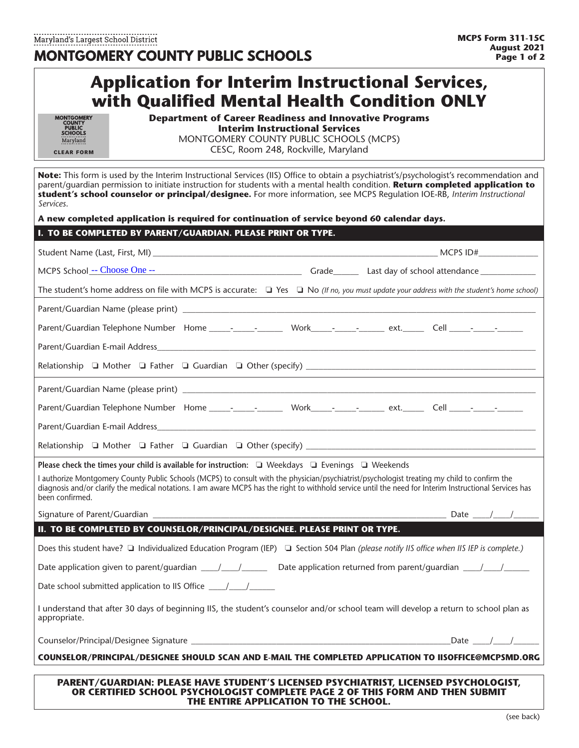|                                                                                   | <b>Application for Interim Instructional Services,</b><br>with Qualified Mental Health Condition ONLY                                                                                    |                                                                                                                                                                                                                                                                                                                                                                                                                  |
|-----------------------------------------------------------------------------------|------------------------------------------------------------------------------------------------------------------------------------------------------------------------------------------|------------------------------------------------------------------------------------------------------------------------------------------------------------------------------------------------------------------------------------------------------------------------------------------------------------------------------------------------------------------------------------------------------------------|
| MONTGOMERY<br>COUNTY<br>PUBLIC<br><b>SCHOOLS</b><br>Maryland<br><b>CLEAR FORM</b> | <b>Department of Career Readiness and Innovative Programs</b><br><b>Interim Instructional Services</b><br>MONTGOMERY COUNTY PUBLIC SCHOOLS (MCPS)<br>CESC, Room 248, Rockville, Maryland |                                                                                                                                                                                                                                                                                                                                                                                                                  |
| Services.                                                                         |                                                                                                                                                                                          | Note: This form is used by the Interim Instructional Services (IIS) Office to obtain a psychiatrist's/psychologist's recommendation and<br>parent/quardian permission to initiate instruction for students with a mental health condition. Return completed application to<br>student's school counselor or principal/designee. For more information, see MCPS Regulation IOE-RB, Interim Instructional          |
|                                                                                   | A new completed application is required for continuation of service beyond 60 calendar days.                                                                                             |                                                                                                                                                                                                                                                                                                                                                                                                                  |
|                                                                                   | I. TO BE COMPLETED BY PARENT/GUARDIAN. PLEASE PRINT OR TYPE.                                                                                                                             |                                                                                                                                                                                                                                                                                                                                                                                                                  |
|                                                                                   |                                                                                                                                                                                          |                                                                                                                                                                                                                                                                                                                                                                                                                  |
|                                                                                   |                                                                                                                                                                                          | MCPS School -- Choose One -- The Change of Crack Crack Crack Crack Crack Crack Crack Crack Crack Crack Crack C                                                                                                                                                                                                                                                                                                   |
|                                                                                   |                                                                                                                                                                                          | The student's home address on file with MCPS is accurate: $\square$ Yes $\square$ No (If no, you must update your address with the student's home school)                                                                                                                                                                                                                                                        |
|                                                                                   |                                                                                                                                                                                          |                                                                                                                                                                                                                                                                                                                                                                                                                  |
|                                                                                   |                                                                                                                                                                                          |                                                                                                                                                                                                                                                                                                                                                                                                                  |
|                                                                                   |                                                                                                                                                                                          |                                                                                                                                                                                                                                                                                                                                                                                                                  |
|                                                                                   |                                                                                                                                                                                          |                                                                                                                                                                                                                                                                                                                                                                                                                  |
|                                                                                   |                                                                                                                                                                                          |                                                                                                                                                                                                                                                                                                                                                                                                                  |
|                                                                                   |                                                                                                                                                                                          |                                                                                                                                                                                                                                                                                                                                                                                                                  |
|                                                                                   |                                                                                                                                                                                          |                                                                                                                                                                                                                                                                                                                                                                                                                  |
|                                                                                   |                                                                                                                                                                                          |                                                                                                                                                                                                                                                                                                                                                                                                                  |
|                                                                                   | Please check the times your child is available for instruction: □ Weekdays □ Evenings □ Weekends                                                                                         |                                                                                                                                                                                                                                                                                                                                                                                                                  |
| been confirmed.                                                                   |                                                                                                                                                                                          | I authorize Montgomery County Public Schools (MCPS) to consult with the physician/psychiatrist/psychologist treating my child to confirm the<br>diagnosis and/or clarify the medical notations. I am aware MCPS has the right to withhold service until the need for Interim Instructional Services has                                                                                                          |
|                                                                                   |                                                                                                                                                                                          | Date $\frac{1}{\sqrt{1-\frac{1}{2}}}\frac{1}{\sqrt{1-\frac{1}{2}}\sqrt{1-\frac{1}{2}}\sqrt{1-\frac{1}{2}}\sqrt{1-\frac{1}{2}}\sqrt{1-\frac{1}{2}}\sqrt{1-\frac{1}{2}}\sqrt{1-\frac{1}{2}}\sqrt{1-\frac{1}{2}}\sqrt{1-\frac{1}{2}}\sqrt{1-\frac{1}{2}}\sqrt{1-\frac{1}{2}}\sqrt{1-\frac{1}{2}}\sqrt{1-\frac{1}{2}}\sqrt{1-\frac{1}{2}}\sqrt{1-\frac{1}{2}}\sqrt{1-\frac{1}{2}}\sqrt{1-\frac{1}{2}}\sqrt{1-\frac{$ |
|                                                                                   | II. TO BE COMPLETED BY COUNSELOR/PRINCIPAL/DESIGNEE. PLEASE PRINT OR TYPE.                                                                                                               |                                                                                                                                                                                                                                                                                                                                                                                                                  |
|                                                                                   |                                                                                                                                                                                          | Does this student have? $\Box$ Individualized Education Program (IEP) $\Box$ Section 504 Plan (please notify IIS office when IIS IEP is complete.)                                                                                                                                                                                                                                                               |
|                                                                                   |                                                                                                                                                                                          |                                                                                                                                                                                                                                                                                                                                                                                                                  |
|                                                                                   | Date school submitted application to IIS Office ________________________________                                                                                                         |                                                                                                                                                                                                                                                                                                                                                                                                                  |
| appropriate.                                                                      |                                                                                                                                                                                          | I understand that after 30 days of beginning IIS, the student's counselor and/or school team will develop a return to school plan as                                                                                                                                                                                                                                                                             |
|                                                                                   |                                                                                                                                                                                          | Date $/$ $/$                                                                                                                                                                                                                                                                                                                                                                                                     |
|                                                                                   |                                                                                                                                                                                          | COUNSELOR/PRINCIPAL/DESIGNEE SHOULD SCAN AND E-MAIL THE COMPLETED APPLICATION TO IISOFFICE@MCPSMD.ORG                                                                                                                                                                                                                                                                                                            |
|                                                                                   | OR CERTIFIED SCHOOL PSYCHOLOGIST COMPLETE PAGE 2 OF THIS FORM AND THEN SUBMIT                                                                                                            | PARENT/GUARDIAN: PLEASE HAVE STUDENT'S LICENSED PSYCHIATRIST, LICENSED PSYCHOLOGIST,                                                                                                                                                                                                                                                                                                                             |

**THE ENTIRE APPLICATION TO THE SCHOOL.**